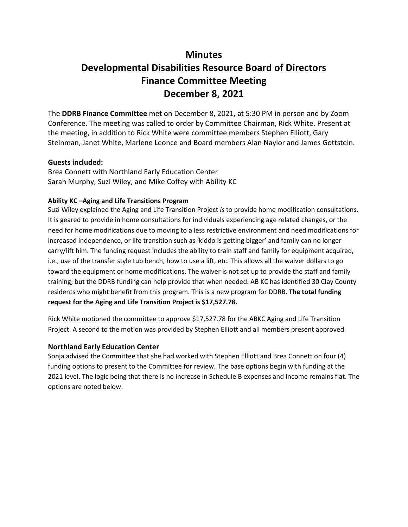## **Minutes**

# **Developmental Disabilities Resource Board of Directors Finance Committee Meeting December 8, 2021**

The **DDRB Finance Committee** met on December 8, 2021, at 5:30 PM in person and by Zoom Conference. The meeting was called to order by Committee Chairman, Rick White. Present at the meeting, in addition to Rick White were committee members Stephen Elliott, Gary Steinman, Janet White, Marlene Leonce and Board members Alan Naylor and James Gottstein.

### **Guests included:**

Brea Connett with Northland Early Education Center Sarah Murphy, Suzi Wiley, and Mike Coffey with Ability KC

#### **Ability KC –Aging and Life Transitions Program**

Suzi Wiley explained the Aging and Life Transition Project *is* to provide home modification consultations. It is geared to provide in home consultations for individuals experiencing age related changes, or the need for home modifications due to moving to a less restrictive environment and need modifications for increased independence, or life transition such as 'kiddo is getting bigger' and family can no longer carry/lift him. The funding request includes the ability to train staff and family for equipment acquired, i.e., use of the transfer style tub bench, how to use a lift, etc. This allows all the waiver dollars to go toward the equipment or home modifications. The waiver is not set up to provide the staff and family training; but the DDRB funding can help provide that when needed. AB KC has identified 30 Clay County residents who might benefit from this program. This is a new program for DDRB. **The total funding request for the Aging and Life Transition Project is \$17,527.78.**

Rick White motioned the committee to approve \$17,527.78 for the ABKC Aging and Life Transition Project. A second to the motion was provided by Stephen Elliott and all members present approved.

### **Northland Early Education Center**

Sonja advised the Committee that she had worked with Stephen Elliott and Brea Connett on four (4) funding options to present to the Committee for review. The base options begin with funding at the 2021 level. The logic being that there is no increase in Schedule B expenses and Income remains flat. The options are noted below.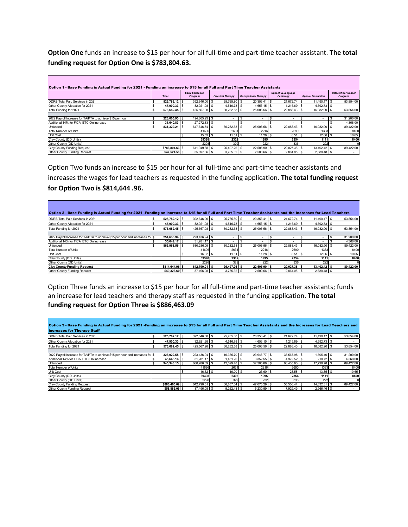**Option One** funds an increase to \$15 per hour for all full-time and part-time teacher assistant. **The total funding request for Option One is \$783,804.63.**

| Option 1 - Base Funding is Actual Funding for 2021 - Funding an increase to \$15 for all Full and Part Time Teacher Assistants |                 |                                   |                         |                                |                                           |                            |                                       |  |
|--------------------------------------------------------------------------------------------------------------------------------|-----------------|-----------------------------------|-------------------------|--------------------------------|-------------------------------------------|----------------------------|---------------------------------------|--|
|                                                                                                                                | <b>Total</b>    | <b>Early Education</b><br>Program | <b>Physical Therapy</b> | <b>Occupational Therapy</b>    | <b>Speech &amp; Language</b><br>Pathology | <b>Special Instruction</b> | <b>Before/After School</b><br>Program |  |
| <b>IDDRB Total Paid Services in 2021</b>                                                                                       | 525.782.12 \$   | 392.646.00 \$                     | 25,765,80 \$            | 20.353.41 \$                   | 21.672.74                                 | 11.490.17                  | 53,854.00                             |  |
| Other County Allocation for 2021                                                                                               | 47.900.33 \$    | 32,921.98 \$                      | $4.516.78$ \ \$         | $4,653.15$ \$                  | .215.69                                   | 4,592.73                   |                                       |  |
| Total Funding for 2021                                                                                                         | 573,682.45 \$   | 425,567.98 \$                     | $30,282.58$ \$          | 25,006.56 \$                   | 22,888.43 \$                              | 16,082.90 \$               | 53,854.00                             |  |
|                                                                                                                                |                 |                                   |                         |                                |                                           |                            |                                       |  |
| 2022 Payroll Increase for TA/PTA to achieve \$15 per hour                                                                      | 226.005.93 \$   | 194,805.93 \$                     |                         | -S<br>$\overline{\phantom{a}}$ |                                           |                            | 31,200.00                             |  |
| Additional 14% for FICA, ETC On Increase                                                                                       | 31,640.83 \$    | 27,272.83 \$                      |                         |                                |                                           |                            | 4,368.00                              |  |
| Unfunded                                                                                                                       | 831.329.21 \$   | 647,646.74 \$                     | $30,282.58$ \$          | 25,006.56 \$                   | 22,888.43 \$                              | 16,082.90 \$               | 89,422.00                             |  |
| <b>Total Number of Units</b>                                                                                                   |                 | 41696                             | 2631                    | 2216                           | 2690                                      | 1333                       | 8400                                  |  |
| Unit Cost                                                                                                                      |                 | $15.53$ \$                        | $11.51$ \ \$            | 11.28                          | $8.51$ S                                  | $12.06$ \ \$               | 10.65                                 |  |
| Clay County (DD Units)                                                                                                         |                 | 39398                             | 2302                    | 1995                           | 2354                                      | 1111                       | 8400                                  |  |
| Other County (DD Units)                                                                                                        |                 | 2298                              | 329                     | 222                            | 336                                       | 222                        |                                       |  |
| Clay County Funding Request                                                                                                    | \$783,804.63 \$ | 611.949.68 \$                     | 26,497.26 \$            | 22,505,90 \$                   | 20.027.38 \$                              | 13,402.42 \$               | 89.422.00                             |  |
| Other County Funding Request                                                                                                   | \$47.524.58 \$  | 35,697,06 \$                      | 3.785.32 \$             | 2.500.66 \$                    | $2,861.05$ \$                             | $2,680.48$ \$              | $\overline{\phantom{a}}$              |  |

Option Two funds an increase to \$15 per hour for all full-time and part-time teacher assistants and increases the wages for lead teachers as requested in the funding application. **The total funding request for Option Two is \$814,644 .96.**

| Option 2 - Base Funding is Actual Funding for 2021 -Funding an increase to \$15 for all Full and Part Time Teacher Assistants and the Increases for Lead Teachers |                 |               |                |               |                |              |           |
|-------------------------------------------------------------------------------------------------------------------------------------------------------------------|-----------------|---------------|----------------|---------------|----------------|--------------|-----------|
| <b>IDDRB Total Paid Services in 2021</b>                                                                                                                          | 525.782.12 \$   | 392,646,00 \$ | 25.765.80 \$   | 20,353.41 \$  | 21.672.74 \$   | 11,490.17 S  | 53,854.00 |
| Other County Allocation for 2021                                                                                                                                  | 47,900.33 S     | 32,921.98 \$  | $4.516.78$ S   | 4,653.15 \$   | $1,215.69$ \$  | 4,592.73 \$  |           |
| Total Funding for 2021                                                                                                                                            | 573.682.45 \$   | 425.567.98 \$ | $30,282.58$ \$ | 25,006.56 \$  | 22.888.43 \ \$ | 16,082.90 \$ | 53,854.00 |
|                                                                                                                                                                   |                 |               |                |               |                |              |           |
| 2022 Payroll Increase for TA/PTA to achieve \$15 per hour and Increases for \$                                                                                    | 254.636.94 \$   | 223.436.94 \$ |                |               |                |              | 31,200.00 |
| Additional 14% for FICA, ETC On Increase                                                                                                                          | 35,649.17 S     | $31.281.17$ S |                |               |                |              | 4,368.00  |
| Unfunded                                                                                                                                                          | 863,968.56 \$   | 680.286.09 \$ | $30.282.58$ \$ | 25,006.56 \$  | 22.888.43 \ \$ | 16,082.90    | 89,422.00 |
| Total Number of Units                                                                                                                                             |                 | 41696         | 2631           | 2216          | 2690           | 1333         | 8400      |
| <b>Unit Cost</b>                                                                                                                                                  |                 |               | $11.51$ \ \$   | 11.28         | $8.51$ S       | 12.06        | 10.65     |
| Clay County (DD Units)                                                                                                                                            |                 | 39398         | 2302           | 1995          | 2354           | 1111         | 8400      |
| Other County (DD Units)                                                                                                                                           |                 | 2298          | 329            | 222           | 336            | 222          |           |
| <b>Clay County Funding Request</b>                                                                                                                                | \$814,644.96 \$ | 642.790.01 \$ | 26.497.26 \$   | 22.505.90 \$  | 20.027.38 \$   | 13.402.42    | 89,422.00 |
| Other County Funding Request                                                                                                                                      | \$49,323,60 \$  | 37,496,08 \$  | $3.785.32$ \$  | $2.500.66$ \$ | $2.861.05$ S   | 2,680.48     |           |

Option Three funds an increase to \$15 per hour for all full-time and part-time teacher assistants; funds an increase for lead teachers and therapy staff as requested in the funding application. **The total funding request for Option Three is \$886,463.09**

| Option 3 - Base Funding is Actual Funding for 2021 -Funding an increase to \$15 for all Full and Part Time Teacher Assistants and the Increases for Lead Teachers and |                 |               |                 |                |               |              |           |  |  |
|-----------------------------------------------------------------------------------------------------------------------------------------------------------------------|-----------------|---------------|-----------------|----------------|---------------|--------------|-----------|--|--|
| increases for Therapy Staff                                                                                                                                           |                 |               |                 |                |               |              |           |  |  |
| <b>IDDRB</b> Total Paid Services in 2021                                                                                                                              | 525.782.12 \$   | 392.646.00 \$ | 25,765,80 \$    | $20.353.41$ \$ | 21.672.74 \$  | 11.490.17    | 53.854.00 |  |  |
| Other County Allocation for 2021                                                                                                                                      | 47.900.33 \$    | 32.921.98 \$  | 4.516.78 \$     | $4.653.15$ \$  | $1.215.69$ S  | $4.592.73$ S |           |  |  |
| Total Funding for 2021                                                                                                                                                | 573.682.45 \$   | 425,567.98 \$ | $30,282.58$ \$  | 25,006.56 \$   | 22,888.43 \$  | 16,082.90 \$ | 53,854.00 |  |  |
|                                                                                                                                                                       |                 |               |                 |                |               |              |           |  |  |
| 2022 Payroll Increase for TA/PTA to achieve \$15 per hour and Increases for \$                                                                                        | 326.022.55 \$   | 223.436.94 \$ | 10.365.70 \$    | 23,946.77 \$   | 35.567.98 \$  | $1.505.16$ S | 31.200.00 |  |  |
| Additional 14% for FICA, ETC On Increase                                                                                                                              | 45.643.16 \$    | $31.281.17$ S | $1.451.20$ \ \$ | $3.352.55$ \$  | 4.979.52      | 210.72       | 4,368.00  |  |  |
| Unfunded                                                                                                                                                              | 945,348.15 \$   | 680.286.09 \$ | 42.099.48 \$    | 52,305.88 \$   | 63.435.93 \$  | 17,798.78 \$ | 89,422.00 |  |  |
| Total Number of Units                                                                                                                                                 |                 | 41696         | 2631            | 2216           | 2690          | 1333         | 8400      |  |  |
| Unit Cost                                                                                                                                                             |                 |               | 16.00           | $23.60$ \$     | 23.58         | 13.35        | 10.65     |  |  |
| Clay County (DD Units)                                                                                                                                                |                 | 39398         | 2302            | 1995           | 2354          | 1111         | 8400      |  |  |
| Other County (DD Units)                                                                                                                                               |                 | 2298          | 329             | 222            | 336           | 222          |           |  |  |
| Clay County Funding Request                                                                                                                                           | \$886,463.09 \$ | 642.790.01 \$ | 36,837.04 \$    | 47.075.29 \$   | 55.506.44     | 14.832.31    | 89.422.00 |  |  |
| Other County Funding Request                                                                                                                                          | \$58,885,06 \$  | 37,496.08 \$  | $5,262.43$ \$   | $5.230.59$ \$  | $7.929.49$ \$ | $2.966.46$ S |           |  |  |